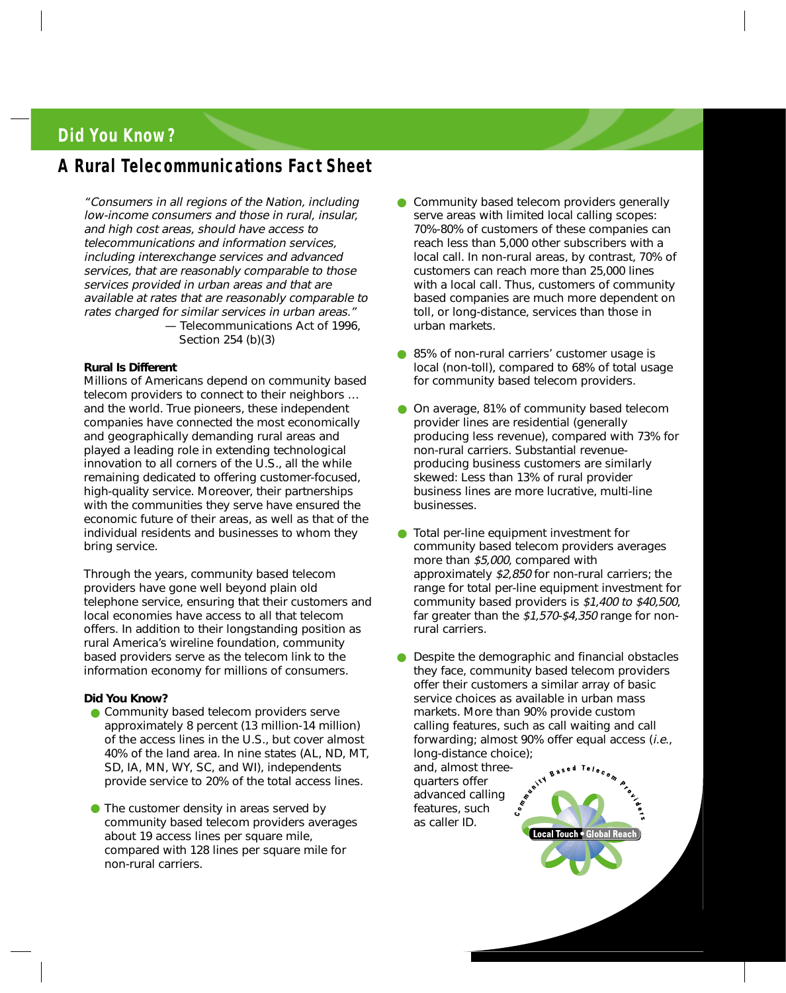# **Did You Know?**

## **A Rural Telecommunications Fact Sheet**

"Consumers in all regions of the Nation, including low-income consumers and those in rural, insular, and high cost areas, should have access to telecommunications and information services, including interexchange services and advanced services, that are reasonably comparable to those services provided in urban areas and that are available at rates that are reasonably comparable to rates charged for similar services in urban areas." — Telecommunications Act of 1996,

Section 254 (b)(3)

### **Rural Is Different**

Millions of Americans depend on community based telecom providers to connect to their neighbors … and the world. True pioneers, these independent companies have connected the most economically and geographically demanding rural areas and played a leading role in extending technological innovation to all corners of the U.S., all the while remaining dedicated to offering customer-focused, high-quality service. Moreover, their partnerships with the communities they serve have ensured the economic future of their areas, as well as that of the individual residents and businesses to whom they bring service.

Through the years, community based telecom providers have gone well beyond plain old telephone service, ensuring that their customers and local economies have access to all that telecom offers. In addition to their longstanding position as rural America's wireline foundation, community based providers serve as the telecom link to the information economy for millions of consumers.

### **Did You Know?**

- Community based telecom providers serve approximately 8 percent (13 million-14 million) of the access lines in the U.S., but cover almost 40% of the land area. In nine states (AL, ND, MT, SD, IA, MN, WY, SC, and WI), independents provide service to 20% of the total access lines.
- The customer density in areas served by community based telecom providers averages about 19 access lines per square mile, compared with 128 lines per square mile for non-rural carriers.
- Community based telecom providers generally serve areas with limited local calling scopes: 70%-80% of customers of these companies can reach less than 5,000 other subscribers with a local call. In non-rural areas, by contrast, 70% of customers can reach more than 25,000 lines with a local call. Thus, customers of community based companies are much more dependent on toll, or long-distance, services than those in urban markets.
- 85% of non-rural carriers' customer usage is local (non-toll), compared to 68% of total usage for community based telecom providers.
- On average, 81% of community based telecom provider lines are residential (generally producing less revenue), compared with 73% for non-rural carriers. Substantial revenueproducing business customers are similarly skewed: Less than 13% of rural provider business lines are more lucrative, multi-line businesses.
- Total per-line equipment investment for community based telecom providers averages more than \$5,000, compared with approximately \$2,850 for non-rural carriers; the range for total per-line equipment investment for community based providers is \$1,400 to \$40,500, far greater than the  $$1,570$ -\$4,350 range for nonrural carriers.

●Despite the demographic and financial obstacles they face, community based telecom providers offer their customers a similar array of basic service choices as available in urban mass markets. More than 90% provide custom calling features, such as call waiting and call forwarding; almost 90% offer equal access (i.e., long-distance choice); Telecom

and, almost threequarters offer advanced calling features, such as caller ID.